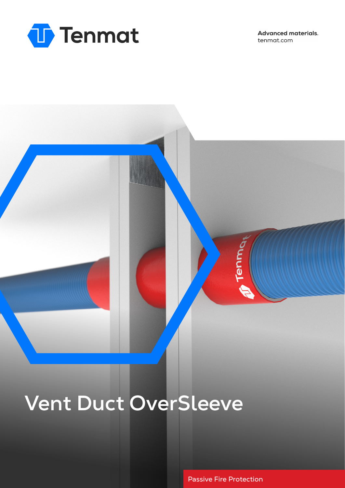

**Advanced materials.** tenmat.com



# **Vent Duct OverSleeve**

Passive Fire Protection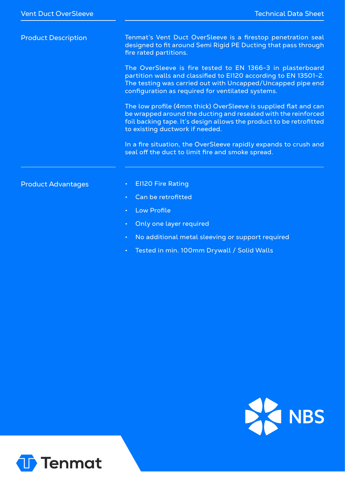| <b>Product Description</b> | Tenmat's Vent Duct OverSleeve is a firestop penetration seal<br>designed to fit around Semi Rigid PE Ducting that pass through<br>fire rated partitions.                                                                                           |
|----------------------------|----------------------------------------------------------------------------------------------------------------------------------------------------------------------------------------------------------------------------------------------------|
|                            | The OverSleeve is fire tested to EN 1366-3 in plasterboard<br>partition walls and classified to E1120 according to EN 13501-2.<br>The testing was carried out with Uncapped/Uncapped pipe end<br>configuration as required for ventilated systems. |
|                            | The low profile (4mm thick) OverSleeve is supplied flat and can<br>be wrapped around the ducting and resealed with the reinforced<br>foil backing tape. It's design allows the product to be retrofitted<br>to existing ductwork if needed.        |
|                            | In a fire situation, the OverSleeve rapidly expands to crush and<br>seal off the duct to limit fire and smoke spread.                                                                                                                              |
| <b>Product Advantages</b>  | <b>El120 Fire Rating</b>                                                                                                                                                                                                                           |
|                            | Can be retrofitted<br>$\bullet$                                                                                                                                                                                                                    |
|                            | <b>Low Profile</b>                                                                                                                                                                                                                                 |

- Only one layer required
- No additional metal sleeving or support required
- Tested in min. 100mm Drywall / Solid Walls



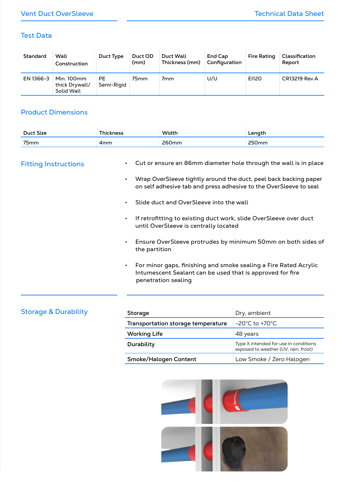#### Test Data

| Standard  | Wall<br>Construction                       | Duct Type        | Duct OD<br>(mm) | Duct Wall<br>Thickness (mm) | <b>End Cap</b><br>Configuration | <b>Fire Rating</b> | Classification<br>Report |
|-----------|--------------------------------------------|------------------|-----------------|-----------------------------|---------------------------------|--------------------|--------------------------|
| EN 1366-3 | Min. 100mm<br>thick Drywall/<br>Solid Wall | PE<br>Semi-Rigid | 75mm            | 7 <sub>mm</sub>             | U/U                             | EI120              | <b>CR13219 Rev A</b>     |

### Product Dimensions

| Duct Size     |                   | <b>Width</b>             | $\cdots$ |
|---------------|-------------------|--------------------------|----------|
| $\sim$ $\sim$ |                   |                          |          |
| 75mm          | - --<br>anm –<br> | 200<br>$\lambda$<br>____ |          |

### Fitting Instructions

- Cut or ensure an 86mm diameter hole through the wall is in place
- Wrap OverSleeve tightly around the duct, peel back backing paper on self adhesive tab and press adhesive to the OverSleeve to seal
- Slide duct and OverSleeve into the wall
- If retrofitting to existing duct work, slide OverSleeve over duct until OverSleeve is centrally located
- Ensure OverSleeve protrudes by minimum 50mm on both sides of the partition
- For minor gaps, finishing and smoke sealing a Fire Rated Acrylic Intumescent Sealant can be used that is approved for fire penetration sealing

| <b>Storage &amp; Durability</b> | <b>Storage</b>                     | Dry, ambient                                                                  |  |
|---------------------------------|------------------------------------|-------------------------------------------------------------------------------|--|
|                                 | Transportation storage temperature | $-20^{\circ}$ C to $+70^{\circ}$ C                                            |  |
|                                 | <b>Working Life</b>                | 48 years                                                                      |  |
|                                 | Durability                         | Type X intended for use in conditions<br>exposed to weather (UV, rain, frost) |  |
|                                 | Smoke/Halogen Content              | Low Smoke / Zero Halogen                                                      |  |
|                                 |                                    |                                                                               |  |